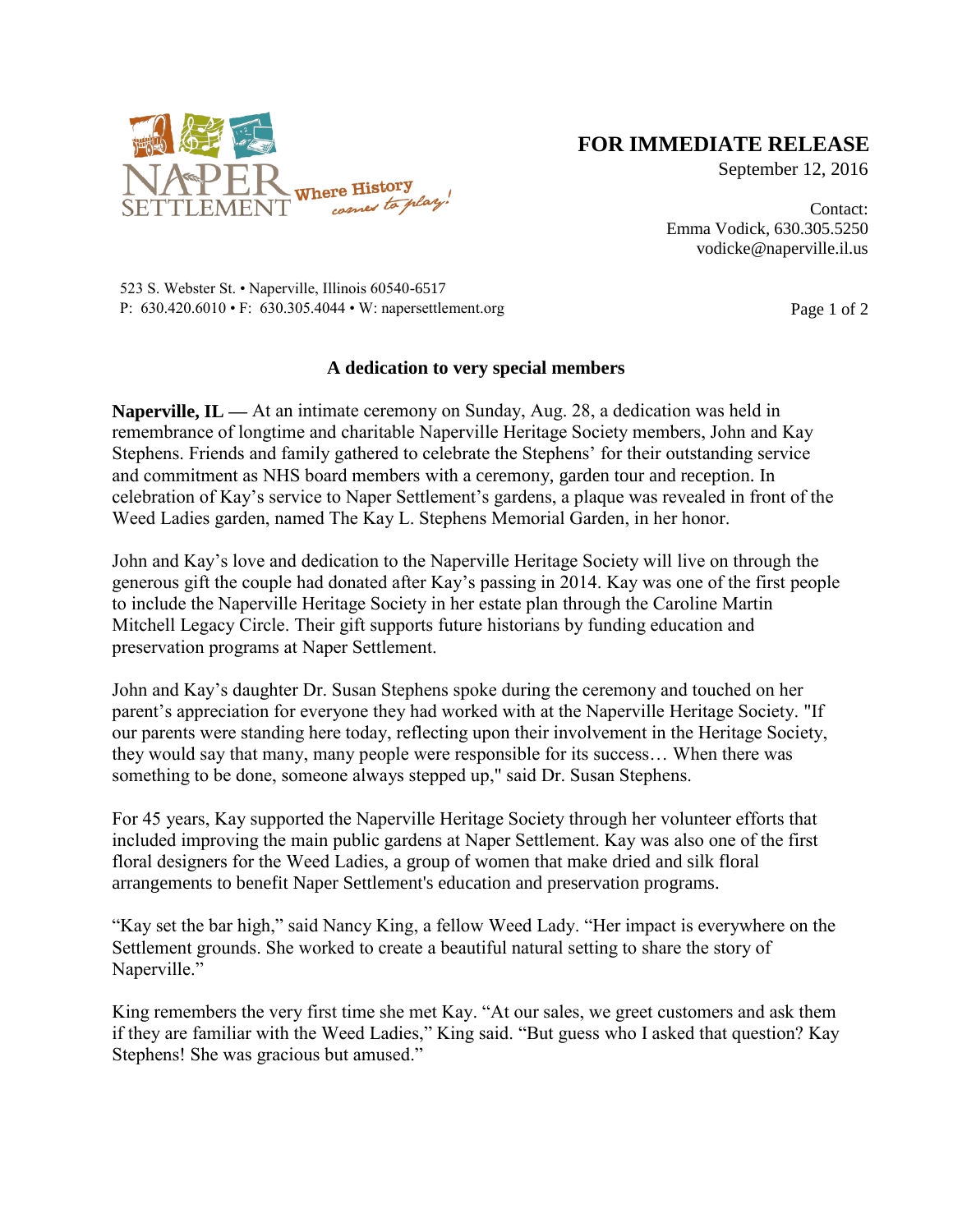

## **FOR IMMEDIATE RELEASE**

September 12, 2016

Contact: Emma Vodick, 630.305.5250 vodicke@naperville.il.us

523 S. Webster St. • Naperville, Illinois 60540-6517 P:  $630.420.6010 \cdot F$ :  $630.305.4044 \cdot W$ : napersettlement.org Page 1 of 2

## **A dedication to very special members**

**Naperville, IL —** At an intimate ceremony on Sunday, Aug. 28, a dedication was held in remembrance of longtime and charitable Naperville Heritage Society members, John and Kay Stephens. Friends and family gathered to celebrate the Stephens' for their outstanding service and commitment as NHS board members with a ceremony, garden tour and reception. In celebration of Kay's service to Naper Settlement's gardens, a plaque was revealed in front of the Weed Ladies garden, named The Kay L. Stephens Memorial Garden, in her honor.

John and Kay's love and dedication to the Naperville Heritage Society will live on through the generous gift the couple had donated after Kay's passing in 2014. Kay was one of the first people to include the Naperville Heritage Society in her estate plan through the Caroline Martin Mitchell Legacy Circle. Their gift supports future historians by funding education and preservation programs at Naper Settlement.

John and Kay's daughter Dr. Susan Stephens spoke during the ceremony and touched on her parent's appreciation for everyone they had worked with at the Naperville Heritage Society. "If our parents were standing here today, reflecting upon their involvement in the Heritage Society, they would say that many, many people were responsible for its success… When there was something to be done, someone always stepped up," said Dr. Susan Stephens.

For 45 years, Kay supported the Naperville Heritage Society through her volunteer efforts that included improving the main public gardens at Naper Settlement. Kay was also one of the first floral designers for the Weed Ladies, a group of women that make dried and silk floral arrangements to benefit Naper Settlement's education and preservation programs.

"Kay set the bar high," said Nancy King, a fellow Weed Lady. "Her impact is everywhere on the Settlement grounds. She worked to create a beautiful natural setting to share the story of Naperville."

King remembers the very first time she met Kay. "At our sales, we greet customers and ask them if they are familiar with the Weed Ladies," King said. "But guess who I asked that question? Kay Stephens! She was gracious but amused."